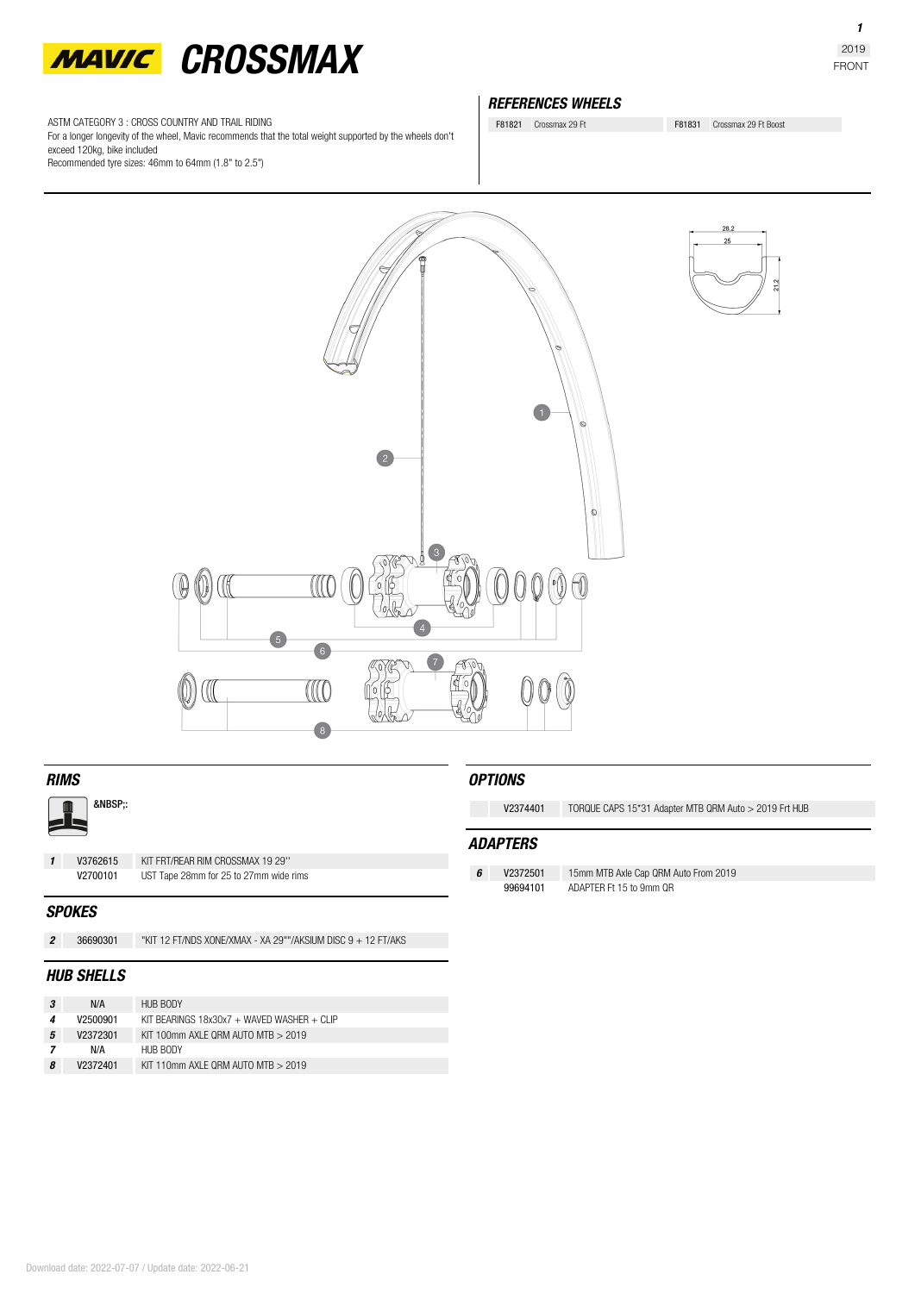

ASTM CATEGORY 3 : CROSS COUNTRY AND TRAIL RIDING

For a longer longevity of the wheel, Mavic recommends that the total weight supported by the wheels don't exceed 120kg, bike included

Recommended tyre sizes: 46mm to 64mm (1.8" to 2.5")

## *REFERENCES WHEELS*

F81821 Crossmax 29 Ft<br>
F81831 Crossmax 29 Ft Boost

 $\bigcap$  $\circ$  $\circ$  $\sqrt{10}$ 1  $\sqrt{4}$  $\sqrt{6}$ CCC  $\sqrt{8}$ 

*OPTIONS*

*ADAPTERS*

**V2374401** TORQUE CAPS 15\*31 Adapter MTB QRM Auto > 2019 Frt HUB

*6* **V2372501** 15mm MTB Axle Cap QRM Auto From 2019 ADAPTER Ft 15 to 9mm QR

| 28,2 |      |
|------|------|
| 25   |      |
|      | 21,2 |

:

*1* **V3762615** KIT FRT/REAR RIM CROSSMAX 19 29'' UST Tape 28mm for 25 to 27mm wide rims

### *SPOKES*

*2* **36690301** "KIT 12 FT/NDS XONE/XMAX - XA 29""/AKSIUM DISC 9 + 12 FT/AKS

## *HUB SHELLS*

|   | N/A      | HUB BODY                                   |
|---|----------|--------------------------------------------|
|   | V2500901 | KIT BEARINGS 18x30x7 + WAVED WASHER + CLIP |
| 5 | V2372301 | KIT 100mm AXLE QRM AUTO MTB > 2019         |
|   | N/A      | HUB BODY                                   |
| 8 | V2372401 | KIT 110mm AXLE QRM AUTO MTB > 2019         |

*1*